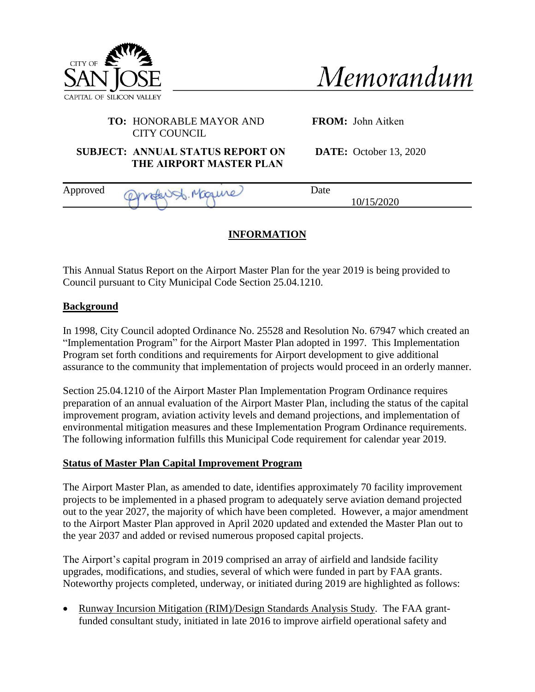

| Memorandum |  |
|------------|--|
|            |  |

## **TO:** HONORABLE MAYOR AND CITY COUNCIL

**FROM:** John Aitken

**SUBJECT: ANNUAL STATUS REPORT ON THE AIRPORT MASTER PLAN**

**DATE:** October 13, 2020

| Approved | <b>Contract</b><br>$\mathbf{r}$ | Date       |  |
|----------|---------------------------------|------------|--|
|          | again.<br>-                     | 10/15/2020 |  |

## **INFORMATION**

This Annual Status Report on the Airport Master Plan for the year 2019 is being provided to Council pursuant to City Municipal Code Section 25.04.1210.

## **Background**

In 1998, City Council adopted Ordinance No. 25528 and Resolution No. 67947 which created an "Implementation Program" for the Airport Master Plan adopted in 1997. This Implementation Program set forth conditions and requirements for Airport development to give additional assurance to the community that implementation of projects would proceed in an orderly manner.

Section 25.04.1210 of the Airport Master Plan Implementation Program Ordinance requires preparation of an annual evaluation of the Airport Master Plan, including the status of the capital improvement program, aviation activity levels and demand projections, and implementation of environmental mitigation measures and these Implementation Program Ordinance requirements. The following information fulfills this Municipal Code requirement for calendar year 2019.

## **Status of Master Plan Capital Improvement Program**

The Airport Master Plan, as amended to date, identifies approximately 70 facility improvement projects to be implemented in a phased program to adequately serve aviation demand projected out to the year 2027, the majority of which have been completed. However, a major amendment to the Airport Master Plan approved in April 2020 updated and extended the Master Plan out to the year 2037 and added or revised numerous proposed capital projects.

The Airport's capital program in 2019 comprised an array of airfield and landside facility upgrades, modifications, and studies, several of which were funded in part by FAA grants. Noteworthy projects completed, underway, or initiated during 2019 are highlighted as follows:

• Runway Incursion Mitigation (RIM)/Design Standards Analysis Study. The FAA grantfunded consultant study, initiated in late 2016 to improve airfield operational safety and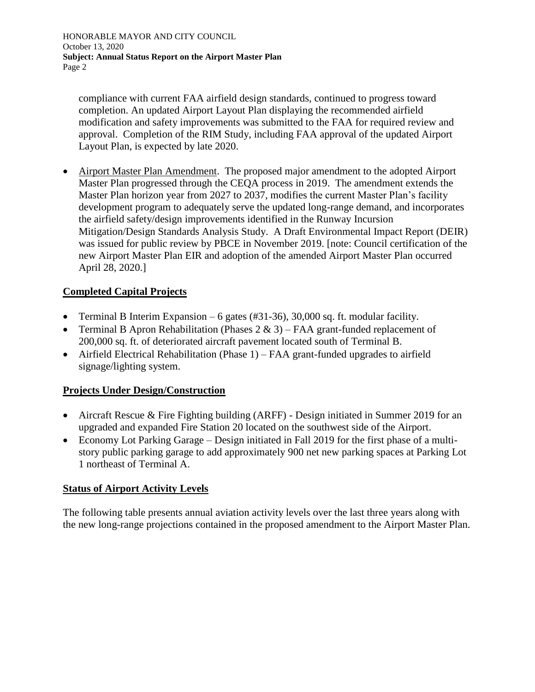HONORABLE MAYOR AND CITY COUNCIL October 13, 2020 **Subject: Annual Status Report on the Airport Master Plan** Page 2

compliance with current FAA airfield design standards, continued to progress toward completion. An updated Airport Layout Plan displaying the recommended airfield modification and safety improvements was submitted to the FAA for required review and approval. Completion of the RIM Study, including FAA approval of the updated Airport Layout Plan, is expected by late 2020.

• Airport Master Plan Amendment. The proposed major amendment to the adopted Airport Master Plan progressed through the CEQA process in 2019. The amendment extends the Master Plan horizon year from 2027 to 2037, modifies the current Master Plan's facility development program to adequately serve the updated long-range demand, and incorporates the airfield safety/design improvements identified in the Runway Incursion Mitigation/Design Standards Analysis Study. A Draft Environmental Impact Report (DEIR) was issued for public review by PBCE in November 2019. [note: Council certification of the new Airport Master Plan EIR and adoption of the amended Airport Master Plan occurred April 28, 2020.]

## **Completed Capital Projects**

- Terminal B Interim Expansion 6 gates  $(\#31-36)$ , 30,000 sq. ft. modular facility.
- Terminal B Apron Rehabilitation (Phases  $2 \& 3$ ) FAA grant-funded replacement of 200,000 sq. ft. of deteriorated aircraft pavement located south of Terminal B.
- Airfield Electrical Rehabilitation (Phase 1) FAA grant-funded upgrades to airfield signage/lighting system.

## **Projects Under Design/Construction**

- Aircraft Rescue & Fire Fighting building (ARFF) Design initiated in Summer 2019 for an upgraded and expanded Fire Station 20 located on the southwest side of the Airport.
- Economy Lot Parking Garage Design initiated in Fall 2019 for the first phase of a multistory public parking garage to add approximately 900 net new parking spaces at Parking Lot 1 northeast of Terminal A.

## **Status of Airport Activity Levels**

The following table presents annual aviation activity levels over the last three years along with the new long-range projections contained in the proposed amendment to the Airport Master Plan.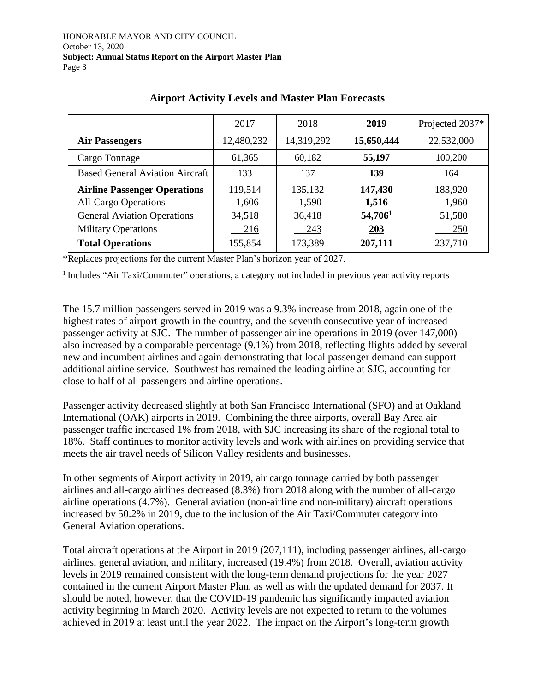|                                        | 2017       | 2018       | 2019             | Projected 2037* |
|----------------------------------------|------------|------------|------------------|-----------------|
| <b>Air Passengers</b>                  | 12,480,232 | 14,319,292 | 15,650,444       | 22,532,000      |
| Cargo Tonnage                          | 61,365     | 60,182     | 55,197           | 100,200         |
| <b>Based General Aviation Aircraft</b> | 133        | 137        | 139              | 164             |
| <b>Airline Passenger Operations</b>    | 119,514    | 135,132    | 147,430          | 183,920         |
| <b>All-Cargo Operations</b>            | 1,606      | 1,590      | 1,516            | 1,960           |
| <b>General Aviation Operations</b>     | 34,518     | 36,418     | $54,706^{\rm l}$ | 51,580          |
| <b>Military Operations</b>             | 216        | 243        | 203              | 250             |
| <b>Total Operations</b>                | 155,854    | 173,389    | 207,111          | 237,710         |

## **Airport Activity Levels and Master Plan Forecasts**

\*Replaces projections for the current Master Plan's horizon year of 2027.

<sup>1</sup> Includes "Air Taxi/Commuter" operations, a category not included in previous year activity reports

The 15.7 million passengers served in 2019 was a 9.3% increase from 2018, again one of the highest rates of airport growth in the country, and the seventh consecutive year of increased passenger activity at SJC. The number of passenger airline operations in 2019 (over 147,000) also increased by a comparable percentage (9.1%) from 2018, reflecting flights added by several new and incumbent airlines and again demonstrating that local passenger demand can support additional airline service. Southwest has remained the leading airline at SJC, accounting for close to half of all passengers and airline operations.

Passenger activity decreased slightly at both San Francisco International (SFO) and at Oakland International (OAK) airports in 2019. Combining the three airports, overall Bay Area air passenger traffic increased 1% from 2018, with SJC increasing its share of the regional total to 18%. Staff continues to monitor activity levels and work with airlines on providing service that meets the air travel needs of Silicon Valley residents and businesses.

In other segments of Airport activity in 2019, air cargo tonnage carried by both passenger airlines and all-cargo airlines decreased (8.3%) from 2018 along with the number of all-cargo airline operations (4.7%). General aviation (non-airline and non-military) aircraft operations increased by 50.2% in 2019, due to the inclusion of the Air Taxi/Commuter category into General Aviation operations.

Total aircraft operations at the Airport in 2019 (207,111), including passenger airlines, all-cargo airlines, general aviation, and military, increased (19.4%) from 2018. Overall, aviation activity levels in 2019 remained consistent with the long-term demand projections for the year 2027 contained in the current Airport Master Plan, as well as with the updated demand for 2037. It should be noted, however, that the COVID-19 pandemic has significantly impacted aviation activity beginning in March 2020. Activity levels are not expected to return to the volumes achieved in 2019 at least until the year 2022. The impact on the Airport's long-term growth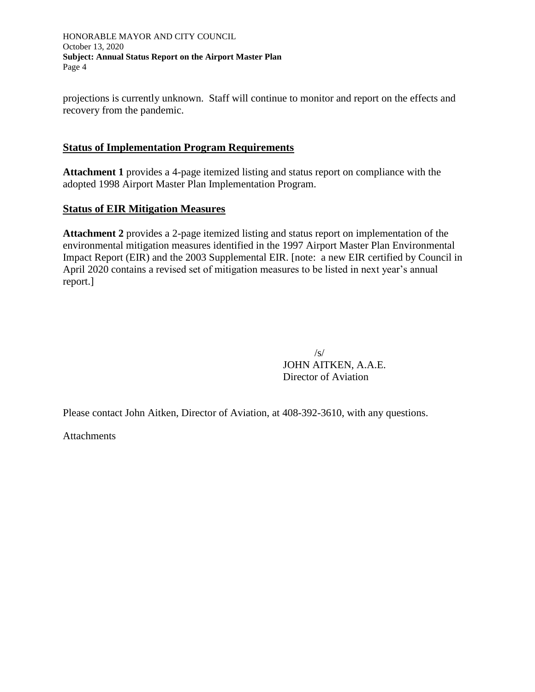HONORABLE MAYOR AND CITY COUNCIL October 13, 2020 **Subject: Annual Status Report on the Airport Master Plan** Page 4

projections is currently unknown. Staff will continue to monitor and report on the effects and recovery from the pandemic.

## **Status of Implementation Program Requirements**

**Attachment 1** provides a 4-page itemized listing and status report on compliance with the adopted 1998 Airport Master Plan Implementation Program.

## **Status of EIR Mitigation Measures**

**Attachment 2** provides a 2-page itemized listing and status report on implementation of the environmental mitigation measures identified in the 1997 Airport Master Plan Environmental Impact Report (EIR) and the 2003 Supplemental EIR. [note: a new EIR certified by Council in April 2020 contains a revised set of mitigation measures to be listed in next year's annual report.]

> $\sqrt{s/2}$ JOHN AITKEN, A.A.E. Director of Aviation

Please contact John Aitken, Director of Aviation, at 408-392-3610, with any questions.

**Attachments**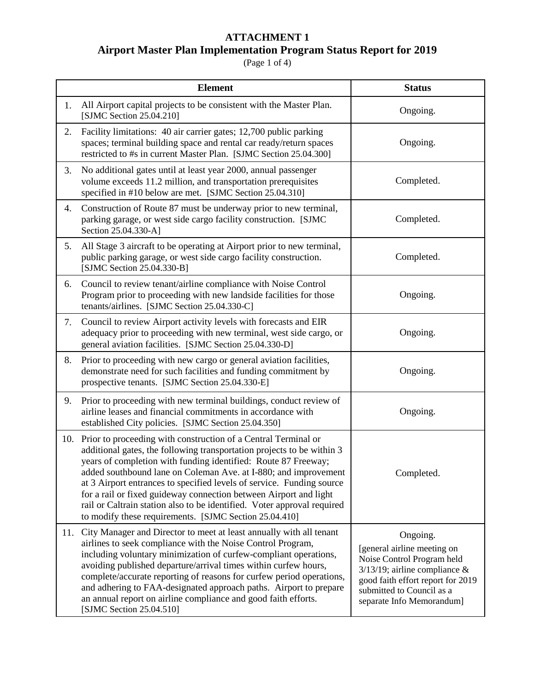## **ATTACHMENT 1**

## **Airport Master Plan Implementation Program Status Report for 2019**

#### (Page 1 of 4)

|     | <b>Element</b>                                                                                                                                                                                                                                                                                                                                                                                                                                                                                                                                                   | <b>Status</b>                                                                                                                                                                                            |
|-----|------------------------------------------------------------------------------------------------------------------------------------------------------------------------------------------------------------------------------------------------------------------------------------------------------------------------------------------------------------------------------------------------------------------------------------------------------------------------------------------------------------------------------------------------------------------|----------------------------------------------------------------------------------------------------------------------------------------------------------------------------------------------------------|
| 1.  | All Airport capital projects to be consistent with the Master Plan.<br>[SJMC Section 25.04.210]                                                                                                                                                                                                                                                                                                                                                                                                                                                                  | Ongoing.                                                                                                                                                                                                 |
| 2.  | Facility limitations: 40 air carrier gates; 12,700 public parking<br>spaces; terminal building space and rental car ready/return spaces<br>restricted to #s in current Master Plan. [SJMC Section 25.04.300]                                                                                                                                                                                                                                                                                                                                                     | Ongoing.                                                                                                                                                                                                 |
| 3.  | No additional gates until at least year 2000, annual passenger<br>volume exceeds 11.2 million, and transportation prerequisites<br>specified in #10 below are met. [SJMC Section 25.04.310]                                                                                                                                                                                                                                                                                                                                                                      | Completed.                                                                                                                                                                                               |
| 4.  | Construction of Route 87 must be underway prior to new terminal,<br>parking garage, or west side cargo facility construction. [SJMC<br>Section 25.04.330-A]                                                                                                                                                                                                                                                                                                                                                                                                      | Completed.                                                                                                                                                                                               |
| 5.  | All Stage 3 aircraft to be operating at Airport prior to new terminal,<br>public parking garage, or west side cargo facility construction.<br>[SJMC Section 25.04.330-B]                                                                                                                                                                                                                                                                                                                                                                                         | Completed.                                                                                                                                                                                               |
| 6.  | Council to review tenant/airline compliance with Noise Control<br>Program prior to proceeding with new landside facilities for those<br>tenants/airlines. [SJMC Section 25.04.330-C]                                                                                                                                                                                                                                                                                                                                                                             | Ongoing.                                                                                                                                                                                                 |
| 7.  | Council to review Airport activity levels with forecasts and EIR<br>adequacy prior to proceeding with new terminal, west side cargo, or<br>general aviation facilities. [SJMC Section 25.04.330-D]                                                                                                                                                                                                                                                                                                                                                               | Ongoing.                                                                                                                                                                                                 |
| 8.  | Prior to proceeding with new cargo or general aviation facilities,<br>demonstrate need for such facilities and funding commitment by<br>prospective tenants. [SJMC Section 25.04.330-E]                                                                                                                                                                                                                                                                                                                                                                          | Ongoing.                                                                                                                                                                                                 |
| 9.  | Prior to proceeding with new terminal buildings, conduct review of<br>airline leases and financial commitments in accordance with<br>established City policies. [SJMC Section 25.04.350]                                                                                                                                                                                                                                                                                                                                                                         | Ongoing.                                                                                                                                                                                                 |
| 10. | Prior to proceeding with construction of a Central Terminal or<br>additional gates, the following transportation projects to be within 3<br>years of completion with funding identified: Route 87 Freeway;<br>added southbound lane on Coleman Ave. at I-880; and improvement<br>at 3 Airport entrances to specified levels of service. Funding source<br>for a rail or fixed guideway connection between Airport and light<br>rail or Caltrain station also to be identified. Voter approval required<br>to modify these requirements. [SJMC Section 25.04.410] | Completed.                                                                                                                                                                                               |
| 11. | City Manager and Director to meet at least annually with all tenant<br>airlines to seek compliance with the Noise Control Program,<br>including voluntary minimization of curfew-compliant operations,<br>avoiding published departure/arrival times within curfew hours,<br>complete/accurate reporting of reasons for curfew period operations,<br>and adhering to FAA-designated approach paths. Airport to prepare<br>an annual report on airline compliance and good faith efforts.<br>[SJMC Section 25.04.510]                                             | Ongoing.<br>[general airline meeting on<br>Noise Control Program held<br>$3/13/19$ ; airline compliance &<br>good faith effort report for 2019<br>submitted to Council as a<br>separate Info Memorandum] |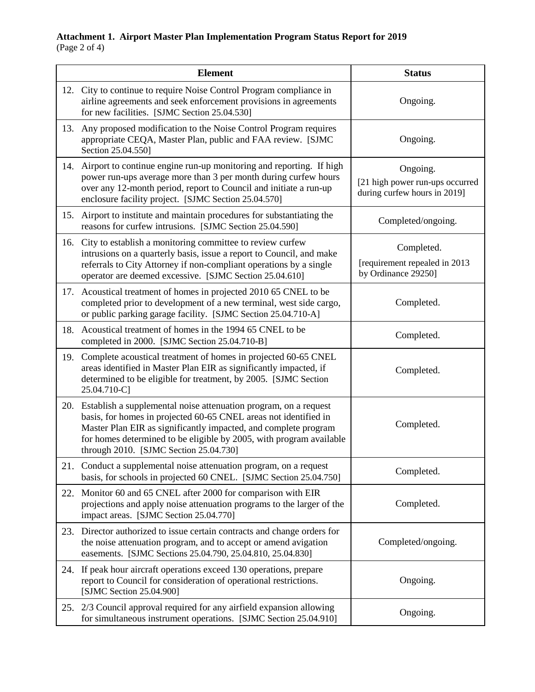### **Attachment 1. Airport Master Plan Implementation Program Status Report for 2019** (Page 2 of 4)

|     | <b>Element</b>                                                                                                                                                                                                                                                                                                           | <b>Status</b>                                                               |
|-----|--------------------------------------------------------------------------------------------------------------------------------------------------------------------------------------------------------------------------------------------------------------------------------------------------------------------------|-----------------------------------------------------------------------------|
| 12. | City to continue to require Noise Control Program compliance in<br>airline agreements and seek enforcement provisions in agreements<br>for new facilities. [SJMC Section 25.04.530]                                                                                                                                      | Ongoing.                                                                    |
| 13. | Any proposed modification to the Noise Control Program requires<br>appropriate CEQA, Master Plan, public and FAA review. [SJMC<br>Section 25.04.550]                                                                                                                                                                     | Ongoing.                                                                    |
| 14. | Airport to continue engine run-up monitoring and reporting. If high<br>power run-ups average more than 3 per month during curfew hours<br>over any 12-month period, report to Council and initiate a run-up<br>enclosure facility project. [SJMC Section 25.04.570]                                                      | Ongoing.<br>[21 high power run-ups occurred<br>during curfew hours in 2019] |
| 15. | Airport to institute and maintain procedures for substantiating the<br>reasons for curfew intrusions. [SJMC Section 25.04.590]                                                                                                                                                                                           | Completed/ongoing.                                                          |
| 16. | City to establish a monitoring committee to review curfew<br>intrusions on a quarterly basis, issue a report to Council, and make<br>referrals to City Attorney if non-compliant operations by a single<br>operator are deemed excessive. [SJMC Section 25.04.610]                                                       | Completed.<br>[requirement repealed in 2013<br>by Ordinance 29250]          |
|     | 17. Acoustical treatment of homes in projected 2010 65 CNEL to be<br>completed prior to development of a new terminal, west side cargo,<br>or public parking garage facility. [SJMC Section 25.04.710-A]                                                                                                                 | Completed.                                                                  |
| 18. | Acoustical treatment of homes in the 1994 65 CNEL to be<br>completed in 2000. [SJMC Section 25.04.710-B]                                                                                                                                                                                                                 | Completed.                                                                  |
| 19. | Complete acoustical treatment of homes in projected 60-65 CNEL<br>areas identified in Master Plan EIR as significantly impacted, if<br>determined to be eligible for treatment, by 2005. [SJMC Section<br>25.04.710-C]                                                                                                   | Completed.                                                                  |
| 20. | Establish a supplemental noise attenuation program, on a request<br>basis, for homes in projected 60-65 CNEL areas not identified in<br>Master Plan EIR as significantly impacted, and complete program<br>for homes determined to be eligible by 2005, with program available<br>through 2010. [SJMC Section 25.04.730] | Completed.                                                                  |
|     | 21. Conduct a supplemental noise attenuation program, on a request<br>basis, for schools in projected 60 CNEL. [SJMC Section 25.04.750]                                                                                                                                                                                  | Completed.                                                                  |
| 22. | Monitor 60 and 65 CNEL after 2000 for comparison with EIR<br>projections and apply noise attenuation programs to the larger of the<br>impact areas. [SJMC Section 25.04.770]                                                                                                                                             | Completed.                                                                  |
| 23. | Director authorized to issue certain contracts and change orders for<br>the noise attenuation program, and to accept or amend avigation<br>easements. [SJMC Sections 25.04.790, 25.04.810, 25.04.830]                                                                                                                    | Completed/ongoing.                                                          |
| 24. | If peak hour aircraft operations exceed 130 operations, prepare<br>report to Council for consideration of operational restrictions.<br>[SJMC Section 25.04.900]                                                                                                                                                          | Ongoing.                                                                    |
|     | 25. 2/3 Council approval required for any airfield expansion allowing<br>for simultaneous instrument operations. [SJMC Section 25.04.910]                                                                                                                                                                                | Ongoing.                                                                    |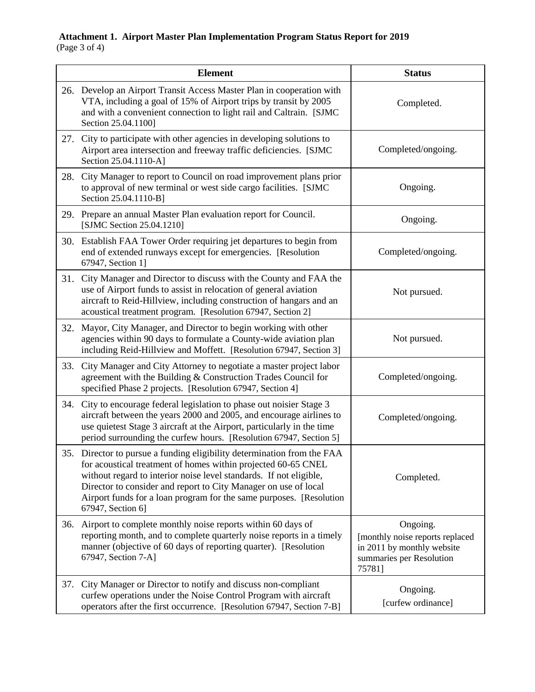### **Attachment 1. Airport Master Plan Implementation Program Status Report for 2019** (Page 3 of 4)

|     | <b>Element</b>                                                                                                                                                                                                                                                                                                                                                             | <b>Status</b>                                                                                                   |
|-----|----------------------------------------------------------------------------------------------------------------------------------------------------------------------------------------------------------------------------------------------------------------------------------------------------------------------------------------------------------------------------|-----------------------------------------------------------------------------------------------------------------|
| 26. | Develop an Airport Transit Access Master Plan in cooperation with<br>VTA, including a goal of 15% of Airport trips by transit by 2005<br>and with a convenient connection to light rail and Caltrain. [SJMC<br>Section 25.04.1100]                                                                                                                                         | Completed.                                                                                                      |
| 27. | City to participate with other agencies in developing solutions to<br>Airport area intersection and freeway traffic deficiencies. [SJMC<br>Section 25.04.1110-A]                                                                                                                                                                                                           | Completed/ongoing.                                                                                              |
| 28. | City Manager to report to Council on road improvement plans prior<br>to approval of new terminal or west side cargo facilities. [SJMC<br>Section 25.04.1110-B]                                                                                                                                                                                                             | Ongoing.                                                                                                        |
| 29. | Prepare an annual Master Plan evaluation report for Council.<br>[SJMC Section 25.04.1210]                                                                                                                                                                                                                                                                                  | Ongoing.                                                                                                        |
|     | 30. Establish FAA Tower Order requiring jet departures to begin from<br>end of extended runways except for emergencies. [Resolution]<br>67947, Section 11                                                                                                                                                                                                                  | Completed/ongoing.                                                                                              |
| 31. | City Manager and Director to discuss with the County and FAA the<br>use of Airport funds to assist in relocation of general aviation<br>aircraft to Reid-Hillview, including construction of hangars and an<br>acoustical treatment program. [Resolution 67947, Section 2]                                                                                                 | Not pursued.                                                                                                    |
| 32. | Mayor, City Manager, and Director to begin working with other<br>agencies within 90 days to formulate a County-wide aviation plan<br>including Reid-Hillview and Moffett. [Resolution 67947, Section 3]                                                                                                                                                                    | Not pursued.                                                                                                    |
| 33. | City Manager and City Attorney to negotiate a master project labor<br>agreement with the Building & Construction Trades Council for<br>specified Phase 2 projects. [Resolution 67947, Section 4]                                                                                                                                                                           | Completed/ongoing.                                                                                              |
| 34. | City to encourage federal legislation to phase out noisier Stage 3<br>aircraft between the years 2000 and 2005, and encourage airlines to<br>use quietest Stage 3 aircraft at the Airport, particularly in the time<br>period surrounding the curfew hours. [Resolution 67947, Section 5]                                                                                  | Completed/ongoing.                                                                                              |
| 35. | Director to pursue a funding eligibility determination from the FAA<br>for acoustical treatment of homes within projected 60-65 CNEL<br>without regard to interior noise level standards. If not eligible,<br>Director to consider and report to City Manager on use of local<br>Airport funds for a loan program for the same purposes. [Resolution]<br>67947, Section 6] | Completed.                                                                                                      |
| 36. | Airport to complete monthly noise reports within 60 days of<br>reporting month, and to complete quarterly noise reports in a timely<br>manner (objective of 60 days of reporting quarter). [Resolution<br>67947, Section 7-A]                                                                                                                                              | Ongoing.<br>[monthly noise reports replaced<br>in 2011 by monthly website<br>summaries per Resolution<br>757811 |
| 37. | City Manager or Director to notify and discuss non-compliant<br>curfew operations under the Noise Control Program with aircraft<br>operators after the first occurrence. [Resolution 67947, Section 7-B]                                                                                                                                                                   | Ongoing.<br>[curfew ordinance]                                                                                  |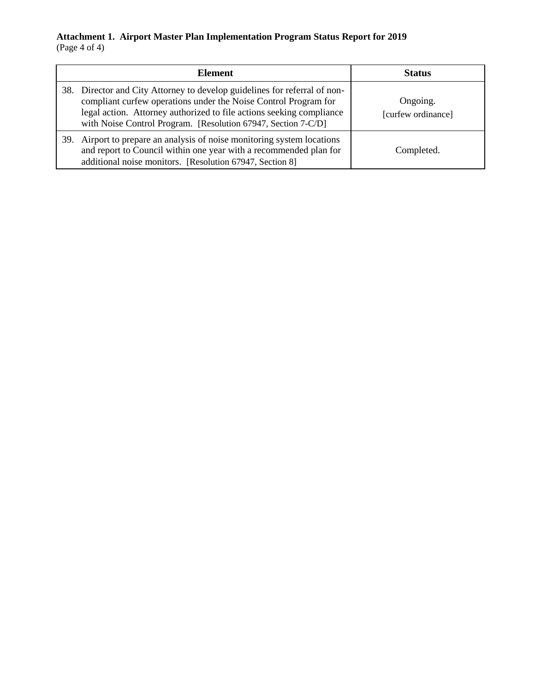### **Attachment 1. Airport Master Plan Implementation Program Status Report for 2019** (Page 4 of 4)

|     | <b>Element</b>                                                                                                                                                                                                                                                                        | <b>Status</b>                  |
|-----|---------------------------------------------------------------------------------------------------------------------------------------------------------------------------------------------------------------------------------------------------------------------------------------|--------------------------------|
|     | 38. Director and City Attorney to develop guidelines for referral of non-<br>compliant curfew operations under the Noise Control Program for<br>legal action. Attorney authorized to file actions seeking compliance<br>with Noise Control Program. [Resolution 67947, Section 7-C/D] | Ongoing.<br>[curfew ordinance] |
| 39. | Airport to prepare an analysis of noise monitoring system locations<br>and report to Council within one year with a recommended plan for<br>additional noise monitors. [Resolution 67947, Section 8]                                                                                  | Completed.                     |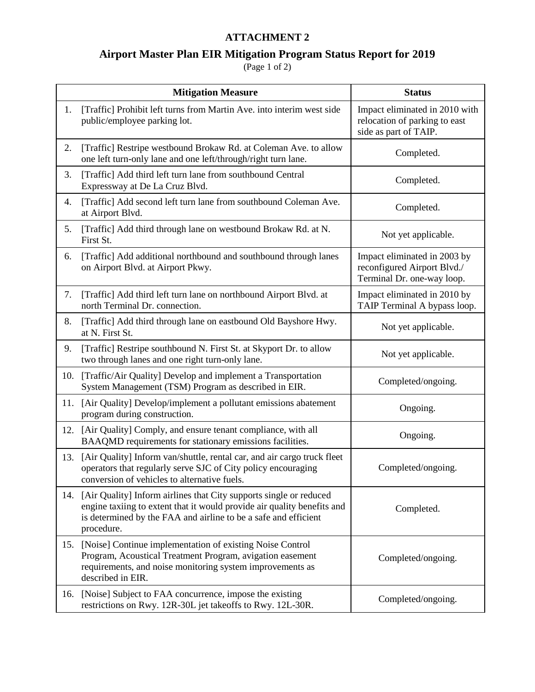## **ATTACHMENT 2**

# **Airport Master Plan EIR Mitigation Program Status Report for 2019**

 $(Page 1 of 2)$ 

|     | <b>Mitigation Measure</b>                                                                                                                                                                                                      | <b>Status</b>                                                                             |
|-----|--------------------------------------------------------------------------------------------------------------------------------------------------------------------------------------------------------------------------------|-------------------------------------------------------------------------------------------|
| 1.  | [Traffic] Prohibit left turns from Martin Ave. into interim west side<br>public/employee parking lot.                                                                                                                          | Impact eliminated in 2010 with<br>relocation of parking to east<br>side as part of TAIP.  |
| 2.  | [Traffic] Restripe westbound Brokaw Rd. at Coleman Ave. to allow<br>one left turn-only lane and one left/through/right turn lane.                                                                                              | Completed.                                                                                |
| 3.  | [Traffic] Add third left turn lane from southbound Central<br>Expressway at De La Cruz Blvd.                                                                                                                                   | Completed.                                                                                |
| 4.  | [Traffic] Add second left turn lane from southbound Coleman Ave.<br>at Airport Blvd.                                                                                                                                           | Completed.                                                                                |
| 5.  | [Traffic] Add third through lane on westbound Brokaw Rd. at N.<br>First St.                                                                                                                                                    | Not yet applicable.                                                                       |
| 6.  | [Traffic] Add additional northbound and southbound through lanes<br>on Airport Blvd. at Airport Pkwy.                                                                                                                          | Impact eliminated in 2003 by<br>reconfigured Airport Blvd./<br>Terminal Dr. one-way loop. |
| 7.  | [Traffic] Add third left turn lane on northbound Airport Blvd. at<br>north Terminal Dr. connection.                                                                                                                            | Impact eliminated in 2010 by<br>TAIP Terminal A bypass loop.                              |
| 8.  | [Traffic] Add third through lane on eastbound Old Bayshore Hwy.<br>at N. First St.                                                                                                                                             | Not yet applicable.                                                                       |
| 9.  | [Traffic] Restripe southbound N. First St. at Skyport Dr. to allow<br>two through lanes and one right turn-only lane.                                                                                                          | Not yet applicable.                                                                       |
| 10. | [Traffic/Air Quality] Develop and implement a Transportation<br>System Management (TSM) Program as described in EIR.                                                                                                           | Completed/ongoing.                                                                        |
| 11. | [Air Quality] Develop/implement a pollutant emissions abatement<br>program during construction.                                                                                                                                | Ongoing.                                                                                  |
| 12. | [Air Quality] Comply, and ensure tenant compliance, with all<br>BAAQMD requirements for stationary emissions facilities.                                                                                                       | Ongoing.                                                                                  |
| 13. | [Air Quality] Inform van/shuttle, rental car, and air cargo truck fleet<br>operators that regularly serve SJC of City policy encouraging<br>conversion of vehicles to alternative fuels.                                       | Completed/ongoing.                                                                        |
| 14. | [Air Quality] Inform airlines that City supports single or reduced<br>engine taxiing to extent that it would provide air quality benefits and<br>is determined by the FAA and airline to be a safe and efficient<br>procedure. | Completed.                                                                                |
| 15. | [Noise] Continue implementation of existing Noise Control<br>Program, Acoustical Treatment Program, avigation easement<br>requirements, and noise monitoring system improvements as<br>described in EIR.                       | Completed/ongoing.                                                                        |
| 16. | [Noise] Subject to FAA concurrence, impose the existing<br>restrictions on Rwy. 12R-30L jet takeoffs to Rwy. 12L-30R.                                                                                                          | Completed/ongoing.                                                                        |